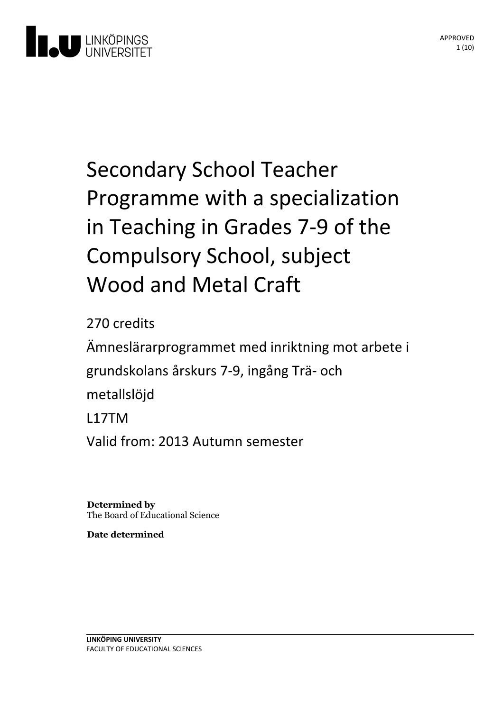

# Secondary School Teacher Programme with a specialization in Teaching in Grades 7-9 of the Compulsory School, subject Wood and Metal Craft

270 credits

Ämneslärarprogrammet med inriktning motarbete i grundskolansårskurs 7-9, ingångTrä- och metallslöjd L17TM Valid from: 2013 Autumn semester

**Determined by** The Board of Educational Science

**Date determined**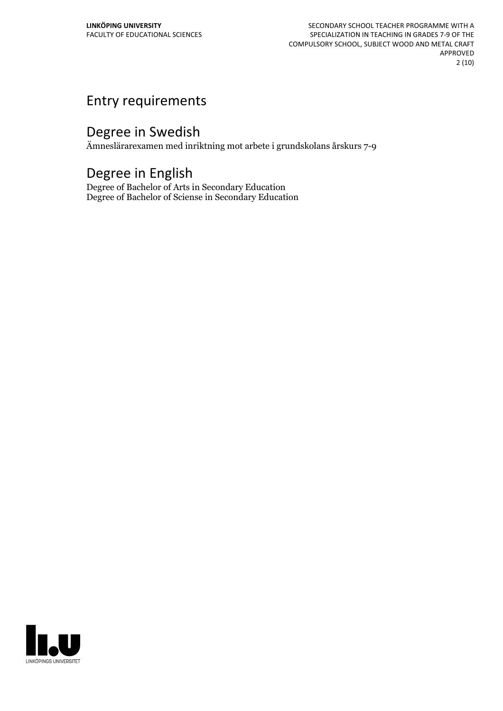SECONDARY SCHOOL TEACHER PROGRAMME WITH A SPECIALIZATION IN TEACHING IN GRADES 7-9 OF THE COMPULSORY SCHOOL, SUBJECT WOOD AND METAL CRAFT APPROVED 2 (10)

## Entry requirements

## Degree in Swedish

Ämneslärarexamen med inriktning mot arbete i grundskolans årskurs 7-9

## Degree in English

Degree of Bachelor of Arts in Secondary Education Degree of Bachelor of Sciense in Secondary Education

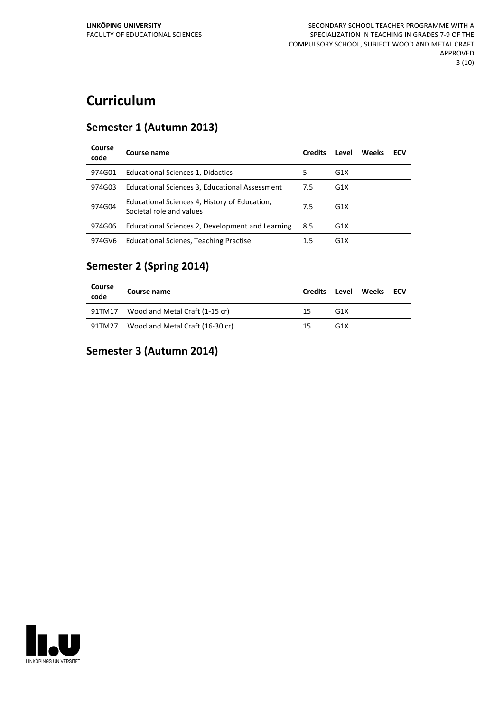## **Curriculum**

#### **Semester 1 (Autumn 2013)**

| Course<br>code | Course name                                                               | <b>Credits</b> | Level            | Weeks | ECV |
|----------------|---------------------------------------------------------------------------|----------------|------------------|-------|-----|
| 974G01         | Educational Sciences 1, Didactics                                         | 5              | G <sub>1</sub> X |       |     |
| 974G03         | Educational Sciences 3, Educational Assessment                            | 7.5            | G <sub>1</sub> X |       |     |
| 974G04         | Educational Sciences 4, History of Education,<br>Societal role and values | 7.5            | G <sub>1</sub> X |       |     |
| 974G06         | Educational Sciences 2, Development and Learning                          | 8.5            | G <sub>1</sub> X |       |     |
| 974GV6         | <b>Educational Scienes, Teaching Practise</b>                             | 1.5            | G <sub>1</sub> X |       |     |

### **Semester 2 (Spring 2014)**

| Course<br>code | Course name                     | Credits | Level            | Weeks ECV |  |
|----------------|---------------------------------|---------|------------------|-----------|--|
| 91TM17         | Wood and Metal Craft (1-15 cr)  | 15      | G <sub>1X</sub>  |           |  |
| 91TM27         | Wood and Metal Craft (16-30 cr) | 15      | G <sub>1</sub> X |           |  |

### **Semester 3 (Autumn 2014)**

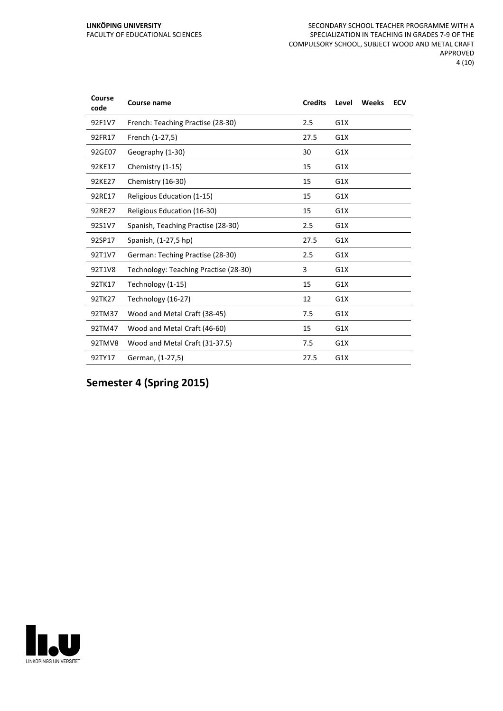| Course<br>code | <b>Course name</b>                    | <b>Credits</b> | Level | Weeks | <b>ECV</b> |
|----------------|---------------------------------------|----------------|-------|-------|------------|
| 92F1V7         | French: Teaching Practise (28-30)     | 2.5            | G1X   |       |            |
| 92FR17         | French (1-27,5)                       | 27.5           | G1X   |       |            |
| 92GE07         | Geography (1-30)                      | 30             | G1X   |       |            |
| 92KE17         | Chemistry (1-15)                      | 15             | G1X   |       |            |
| 92KE27         | Chemistry (16-30)                     | 15             | G1X   |       |            |
| 92RE17         | Religious Education (1-15)            | 15             | G1X   |       |            |
| 92RE27         | Religious Education (16-30)           | 15             | G1X   |       |            |
| 92S1V7         | Spanish, Teaching Practise (28-30)    | 2.5            | G1X   |       |            |
| 92SP17         | Spanish, (1-27,5 hp)                  | 27.5           | G1X   |       |            |
| 92T1V7         | German: Teching Practise (28-30)      | 2.5            | G1X   |       |            |
| 92T1V8         | Technology: Teaching Practise (28-30) | 3              | G1X   |       |            |
| 92TK17         | Technology (1-15)                     | 15             | G1X   |       |            |
| 92TK27         | Technology (16-27)                    | 12             | G1X   |       |            |
| 92TM37         | Wood and Metal Craft (38-45)          | 7.5            | G1X   |       |            |
| 92TM47         | Wood and Metal Craft (46-60)          | 15             | G1X   |       |            |
| 92TMV8         | Wood and Metal Craft (31-37.5)        | 7.5            | G1X   |       |            |
| 92TY17         | German, (1-27,5)                      | 27.5           | G1X   |       |            |

**Semester 4 (Spring 2015)**

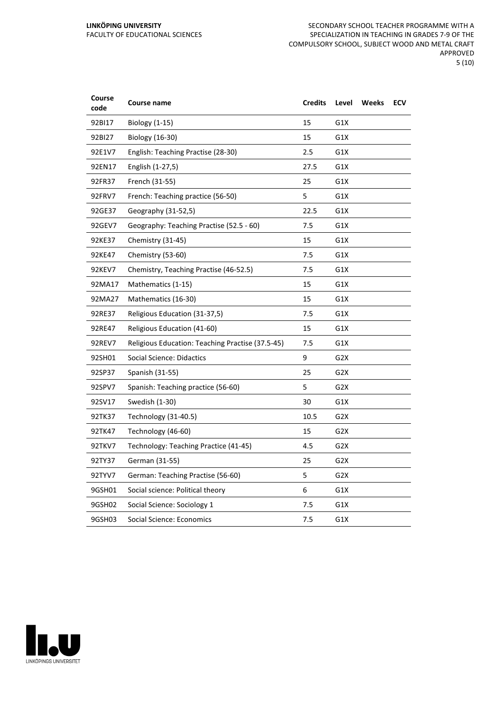| Course<br>code | Course name                                      | <b>Credits</b> | Level            | <b>Weeks</b> | <b>ECV</b> |
|----------------|--------------------------------------------------|----------------|------------------|--------------|------------|
| 92BI17         | <b>Biology (1-15)</b>                            | 15             | G1X              |              |            |
| 92BI27         | <b>Biology (16-30)</b>                           | 15             | G1X              |              |            |
| 92E1V7         | English: Teaching Practise (28-30)               | 2.5            | G1X              |              |            |
| 92EN17         | English (1-27,5)                                 | 27.5           | G1X              |              |            |
| 92FR37         | French (31-55)                                   | 25             | G1X              |              |            |
| 92FRV7         | French: Teaching practice (56-50)                | 5              | G1X              |              |            |
| 92GE37         | Geography (31-52,5)                              | 22.5           | G1X              |              |            |
| 92GEV7         | Geography: Teaching Practise (52.5 - 60)         | 7.5            | G1X              |              |            |
| 92KE37         | Chemistry (31-45)                                | 15             | G1X              |              |            |
| 92KE47         | Chemistry (53-60)                                | 7.5            | G1X              |              |            |
| 92KEV7         | Chemistry, Teaching Practise (46-52.5)           | 7.5            | G1X              |              |            |
| 92MA17         | Mathematics (1-15)                               | 15             | G1X              |              |            |
| 92MA27         | Mathematics (16-30)                              | 15             | G1X              |              |            |
| 92RE37         | Religious Education (31-37,5)                    | 7.5            | G1X              |              |            |
| 92RE47         | Religious Education (41-60)                      | 15             | G1X              |              |            |
| 92REV7         | Religious Education: Teaching Practise (37.5-45) | 7.5            | G1X              |              |            |
| 92SH01         | Social Science: Didactics                        | 9              | G <sub>2</sub> X |              |            |
| 92SP37         | Spanish (31-55)                                  | 25             | G <sub>2</sub> X |              |            |
| 92SPV7         | Spanish: Teaching practice (56-60)               | 5              | G <sub>2</sub> X |              |            |
| 92SV17         | Swedish (1-30)                                   | 30             | G1X              |              |            |
| 92TK37         | Technology (31-40.5)                             | 10.5           | G <sub>2</sub> X |              |            |
| 92TK47         | Technology (46-60)                               | 15             | G2X              |              |            |
| 92TKV7         | Technology: Teaching Practice (41-45)            | 4.5            | G <sub>2</sub> X |              |            |
| 92TY37         | German (31-55)                                   | 25             | G <sub>2</sub> X |              |            |
| 92TYV7         | German: Teaching Practise (56-60)                | 5              | G <sub>2</sub> X |              |            |
| 9GSH01         | Social science: Political theory                 | 6              | G1X              |              |            |
| 9GSH02         | Social Science: Sociology 1                      | 7.5            | G1X              |              |            |
| 9GSH03         | Social Science: Economics                        | 7.5            | G1X              |              |            |

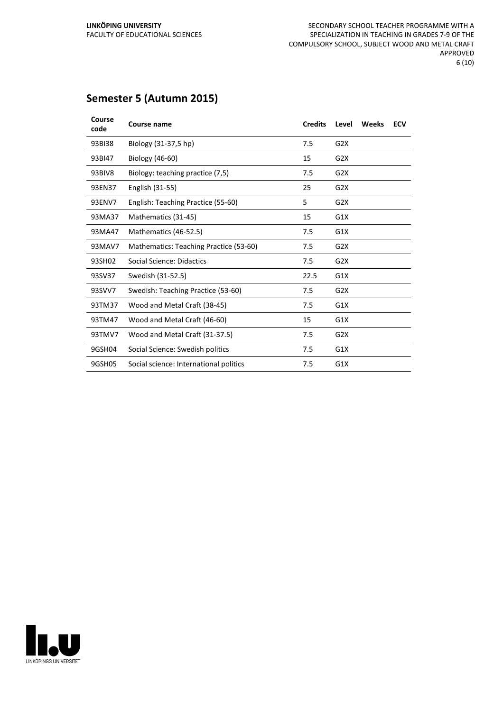### **Semester 5 (Autumn 2015)**

| Course<br>code | Course name                            | <b>Credits</b> | Level            | Weeks | <b>ECV</b> |
|----------------|----------------------------------------|----------------|------------------|-------|------------|
| 93BI38         | Biology (31-37,5 hp)                   | 7.5            | G2X              |       |            |
| 93BI47         | Biology (46-60)                        | 15             | G2X              |       |            |
| 93BIV8         | Biology: teaching practice (7,5)       | 7.5            | G2X              |       |            |
| 93EN37         | English (31-55)                        | 25             | G <sub>2</sub> X |       |            |
| 93ENV7         | English: Teaching Practice (55-60)     | 5              | G <sub>2</sub> X |       |            |
| 93MA37         | Mathematics (31-45)                    | 15             | G1X              |       |            |
| 93MA47         | Mathematics (46-52.5)                  | 7.5            | G1X              |       |            |
| 93MAV7         | Mathematics: Teaching Practice (53-60) | 7.5            | G2X              |       |            |
| 93SH02         | Social Science: Didactics              | 7.5            | G <sub>2</sub> X |       |            |
| 93SV37         | Swedish (31-52.5)                      | 22.5           | G1X              |       |            |
| 93SVV7         | Swedish: Teaching Practice (53-60)     | 7.5            | G <sub>2</sub> X |       |            |
| 93TM37         | Wood and Metal Craft (38-45)           | 7.5            | G1X              |       |            |
| 93TM47         | Wood and Metal Craft (46-60)           | 15             | G1X              |       |            |
| 93TMV7         | Wood and Metal Craft (31-37.5)         | 7.5            | G2X              |       |            |
| 9GSH04         | Social Science: Swedish politics       | 7.5            | G1X              |       |            |
| 9GSH05         | Social science: International politics | 7.5            | G1X              |       |            |

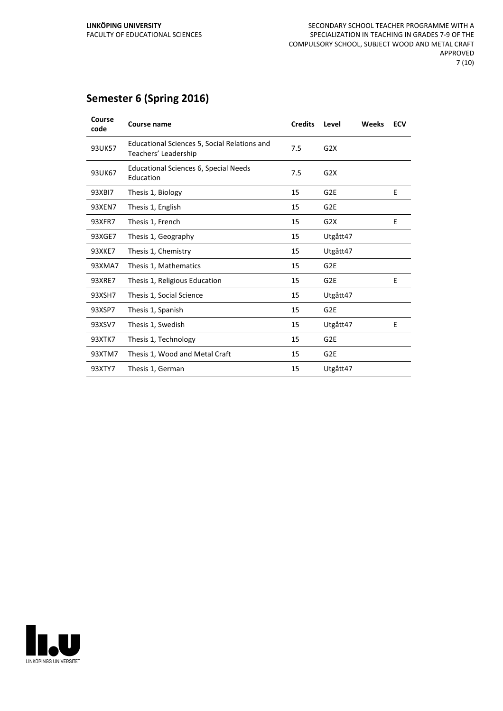### **Semester 6 (Spring 2016)**

| Course<br>code | Course name                                                          | <b>Credits</b> | Level           | Weeks | <b>ECV</b> |
|----------------|----------------------------------------------------------------------|----------------|-----------------|-------|------------|
| 93UK57         | Educational Sciences 5, Social Relations and<br>Teachers' Leadership | 7.5            | G2X             |       |            |
| 93UK67         | <b>Educational Sciences 6, Special Needs</b><br>Education            | 7.5            | G2X             |       |            |
| 93XBI7         | Thesis 1, Biology                                                    | 15             | G <sub>2E</sub> |       | E          |
| 93XEN7         | Thesis 1, English                                                    | 15             | G <sub>2E</sub> |       |            |
| 93XFR7         | Thesis 1, French                                                     | 15             | G2X             |       | E          |
| 93XGE7         | Thesis 1, Geography                                                  | 15             | Utgått47        |       |            |
| 93XKE7         | Thesis 1, Chemistry                                                  | 15             | Utgått47        |       |            |
| 93XMA7         | Thesis 1, Mathematics                                                | 15             | G <sub>2E</sub> |       |            |
| 93XRE7         | Thesis 1, Religious Education                                        | 15             | G <sub>2E</sub> |       | E          |
| 93XSH7         | Thesis 1, Social Science                                             | 15             | Utgått47        |       |            |
| 93XSP7         | Thesis 1, Spanish                                                    | 15             | G <sub>2E</sub> |       |            |
| 93XSV7         | Thesis 1, Swedish                                                    | 15             | Utgått47        |       | E          |
| 93XTK7         | Thesis 1, Technology                                                 | 15             | G <sub>2E</sub> |       |            |
| 93XTM7         | Thesis 1, Wood and Metal Craft                                       | 15             | G <sub>2E</sub> |       |            |
| 93XTY7         | Thesis 1, German                                                     | 15             | Utgått47        |       |            |

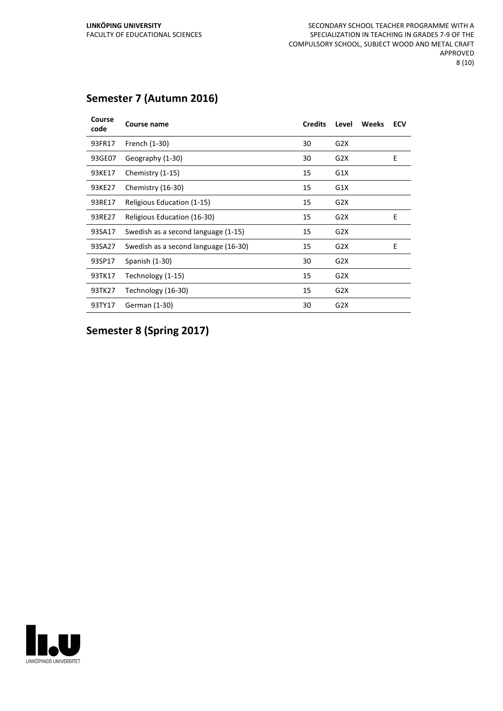### **Semester 7 (Autumn 2016)**

| Course<br>code | Course name                          | <b>Credits</b> | Level            | <b>Weeks</b> | <b>ECV</b> |
|----------------|--------------------------------------|----------------|------------------|--------------|------------|
| 93FR17         | French (1-30)                        | 30             | G <sub>2</sub> X |              |            |
| 93GE07         | Geography (1-30)                     | 30             | G <sub>2</sub> X |              | E          |
| 93KE17         | Chemistry (1-15)                     | 15             | G1X              |              |            |
| 93KE27         | Chemistry (16-30)                    | 15             | G1X              |              |            |
| 93RE17         | Religious Education (1-15)           | 15             | G2X              |              |            |
| 93RE27         | Religious Education (16-30)          | 15             | G2X              |              | E          |
| 93SA17         | Swedish as a second language (1-15)  | 15             | G2X              |              |            |
| 93SA27         | Swedish as a second language (16-30) | 15             | G <sub>2</sub> X |              | E          |
| 93SP17         | Spanish (1-30)                       | 30             | G <sub>2</sub> X |              |            |
| 93TK17         | Technology (1-15)                    | 15             | G <sub>2</sub> X |              |            |
| 93TK27         | Technology (16-30)                   | 15             | G <sub>2</sub> X |              |            |
| 93TY17         | German (1-30)                        | 30             | G <sub>2</sub> X |              |            |

**Semester 8 (Spring 2017)**

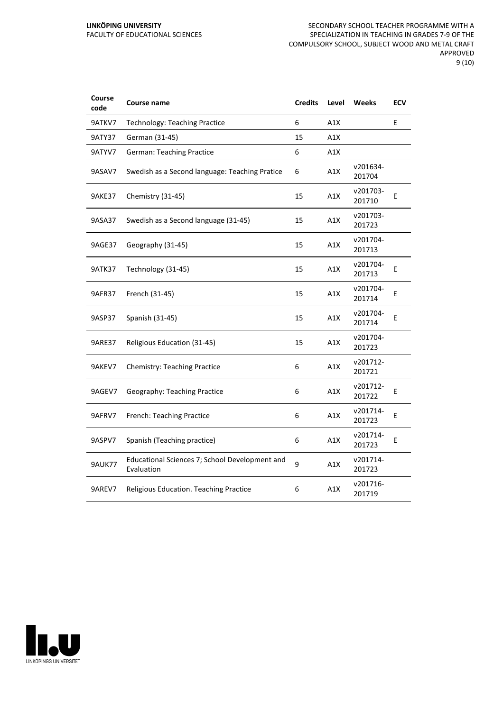#### **LINKÖPING UNIVERSITY** FACULTY OF EDUCATIONAL SCIENCES

| Course<br>code | Course name                                                  | <b>Credits</b> | Level | Weeks              | <b>ECV</b> |
|----------------|--------------------------------------------------------------|----------------|-------|--------------------|------------|
| 9ATKV7         | <b>Technology: Teaching Practice</b>                         | 6              | A1X   |                    | E          |
| <b>9ATY37</b>  | German (31-45)                                               | 15             | A1X   |                    |            |
| 9ATYV7         | <b>German: Teaching Practice</b>                             | 6              | A1X   |                    |            |
| 9ASAV7         | Swedish as a Second language: Teaching Pratice               | 6              | A1X   | v201634-<br>201704 |            |
| <b>9AKE37</b>  | Chemistry (31-45)                                            | 15             | A1X   | v201703-<br>201710 | E          |
| 9ASA37         | Swedish as a Second language (31-45)                         | 15             | A1X   | v201703-<br>201723 |            |
| 9AGE37         | Geography (31-45)                                            | 15             | A1X   | v201704-<br>201713 |            |
| <b>9ATK37</b>  | Technology (31-45)                                           | 15             | A1X   | v201704-<br>201713 | E          |
| 9AFR37         | French (31-45)                                               | 15             | A1X   | v201704-<br>201714 | E          |
| 9ASP37         | Spanish (31-45)                                              | 15             | A1X   | v201704-<br>201714 | E          |
| <b>9ARE37</b>  | Religious Education (31-45)                                  | 15             | A1X   | v201704-<br>201723 |            |
| 9AKEV7         | <b>Chemistry: Teaching Practice</b>                          | 6              | A1X   | v201712-<br>201721 |            |
| 9AGEV7         | Geography: Teaching Practice                                 | 6              | A1X   | v201712-<br>201722 | E          |
| 9AFRV7         | French: Teaching Practice                                    | 6              | A1X   | v201714-<br>201723 | Е          |
| 9ASPV7         | Spanish (Teaching practice)                                  | 6              | A1X   | v201714-<br>201723 | Е          |
| <b>9AUK77</b>  | Educational Sciences 7; School Development and<br>Evaluation | 9              | A1X   | v201714-<br>201723 |            |
| 9AREV7         | Religious Education. Teaching Practice                       | 6              | A1X   | v201716-<br>201719 |            |